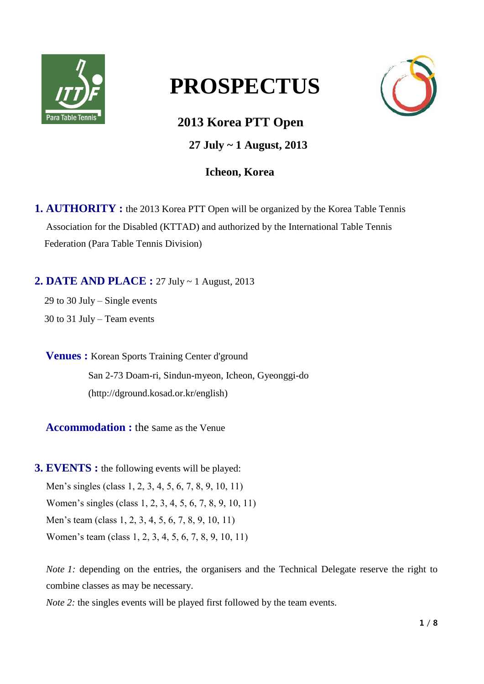

# **PROSPECTUS**

**2013 Korea PTT Open** 

 **27 July ~ 1 August, 2013** 

# **Icheon, Korea**

**1. AUTHORITY :** the 2013 Korea PTT Open will be organized by the Korea Table Tennis Association for the Disabled (KTTAD) and authorized by the International Table Tennis Federation (Para Table Tennis Division)

**2. DATE AND PLACE :** 27 July ~ 1 August, 2013

29 to 30 July – Single events 30 to 31 July – Team events

**Venues :** Korean Sports Training Center d'ground San 2-73 Doam-ri, Sindun-myeon, Icheon, Gyeonggi-do [\(http://dground.kosad.or.kr/english\)](http://dground.kosad.or.kr/english)

**Accommodation :** the same as the Venue

**3. EVENTS :** the following events will be played: Men's singles (class 1, 2, 3, 4, 5, 6, 7, 8, 9, 10, 11) Women's singles (class 1, 2, 3, 4, 5, 6, 7, 8, 9, 10, 11) Men's team (class 1, 2, 3, 4, 5, 6, 7, 8, 9, 10, 11) Women's team (class 1, 2, 3, 4, 5, 6, 7, 8, 9, 10, 11)

*Note 1:* depending on the entries, the organisers and the Technical Delegate reserve the right to combine classes as may be necessary.

*Note 2:* the singles events will be played first followed by the team events.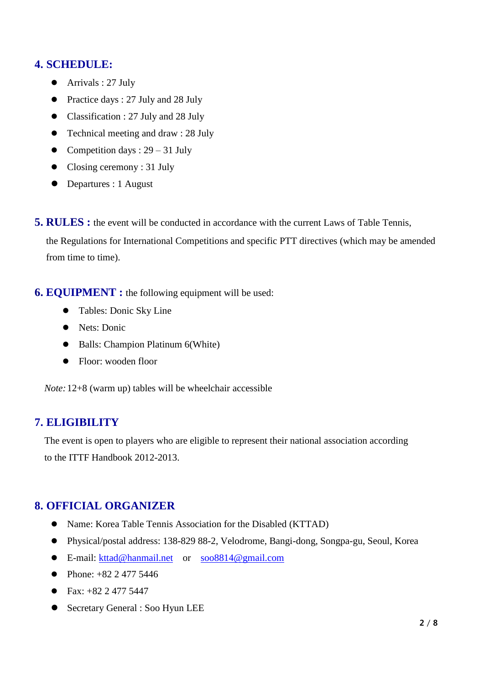# **4. SCHEDULE:**

- Arrivals : 27 July
- Practice days : 27 July and 28 July
- Classification : 27 July and 28 July
- Technical meeting and draw : 28 July
- Competition days :  $29 31$  July
- Closing ceremony : 31 July
- Departures : 1 August
- **5. RULES**: the event will be conducted in accordance with the current Laws of Table Tennis,

the Regulations for International Competitions and specific PTT directives (which may be amended from time to time).

**6. EQUIPMENT :** the following equipment will be used:

- Tables: Donic Sky Line
- Nets: Donic
- Balls: Champion Platinum 6(White)
- Floor: wooden floor

*Note:*12+8 (warm up) tables will be wheelchair accessible

# **7. ELIGIBILITY**

The event is open to players who are eligible to represent their national association according to the ITTF Handbook 2012-2013.

# **8. OFFICIAL ORGANIZER**

- Name: Korea Table Tennis Association for the Disabled (KTTAD)
- Physical/postal address: 138-829 88-2, Velodrome, Bangi-dong, Songpa-gu, Seoul, Korea
- E-mail: [kttad@hanmail.net](mailto:kttad@hanmail.net) or [soo8814@gmail.com](mailto:soo8814@gmail.com)
- Phone:  $+82, 2, 477, 5446$
- Fax:  $+82$  2 477 5447
- Secretary General : Soo Hyun LEE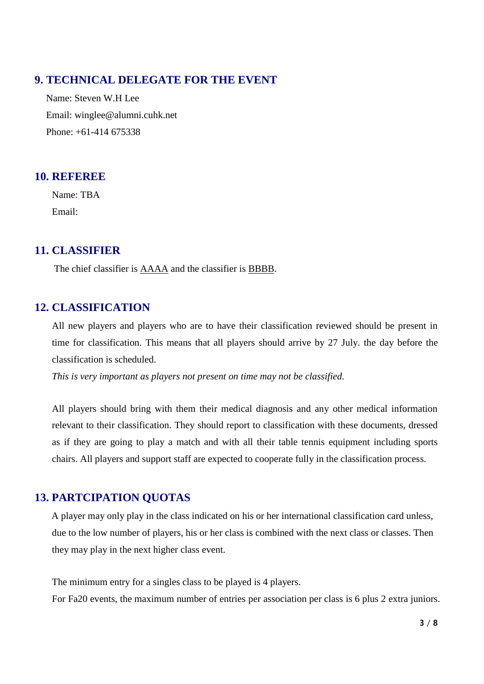# **9. TECHNICAL DELEGATE FOR THE EVENT**

Name: Steven W.H Lee Email: winglee@alumni.cuhk.net Phone: +61-414 675338

# **10. REFEREE**

Name: TBA Email:

# **11. CLASSIFIER**

The chief classifier is AAAA and the classifier is BBBB.

# **12. CLASSIFICATION**

All new players and players who are to have their classification reviewed should be present in time for classification. This means that all players should arrive by 27 July. the day before the classification is scheduled.

*This is very important as players not present on time may not be classified.*

All players should bring with them their medical diagnosis and any other medical information relevant to their classification. They should report to classification with these documents, dressed as if they are going to play a match and with all their table tennis equipment including sports chairs. All players and support staff are expected to cooperate fully in the classification process.

# **13. PARTCIPATION QUOTAS**

A player may only play in the class indicated on his or her international classification card unless, due to the low number of players, his or her class is combined with the next class or classes. Then they may play in the next higher class event.

The minimum entry for a singles class to be played is 4 players. For Fa20 events, the maximum number of entries per association per class is 6 plus 2 extra juniors.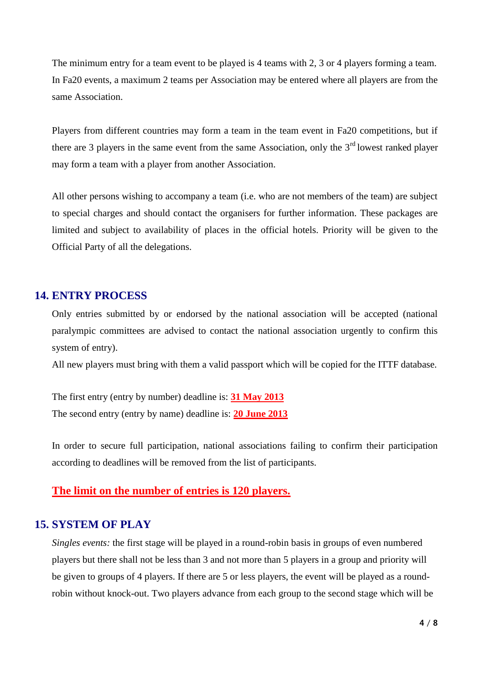The minimum entry for a team event to be played is 4 teams with 2, 3 or 4 players forming a team. In Fa20 events, a maximum 2 teams per Association may be entered where all players are from the same Association.

Players from different countries may form a team in the team event in Fa20 competitions, but if there are 3 players in the same event from the same Association, only the  $3<sup>rd</sup>$  lowest ranked player may form a team with a player from another Association.

All other persons wishing to accompany a team (i.e. who are not members of the team) are subject to special charges and should contact the organisers for further information. These packages are limited and subject to availability of places in the official hotels. Priority will be given to the Official Party of all the delegations.

#### **14. ENTRY PROCESS**

Only entries submitted by or endorsed by the national association will be accepted (national paralympic committees are advised to contact the national association urgently to confirm this system of entry).

All new players must bring with them a valid passport which will be copied for the ITTF database.

The first entry (entry by number) deadline is: **31 May 2013** The second entry (entry by name) deadline is: **20 June 2013**

In order to secure full participation, national associations failing to confirm their participation according to deadlines will be removed from the list of participants.

#### **The limit on the number of entries is 120 players.**

## **15. SYSTEM OF PLAY**

*Singles events:* the first stage will be played in a round-robin basis in groups of even numbered players but there shall not be less than 3 and not more than 5 players in a group and priority will be given to groups of 4 players. If there are 5 or less players, the event will be played as a roundrobin without knock-out. Two players advance from each group to the second stage which will be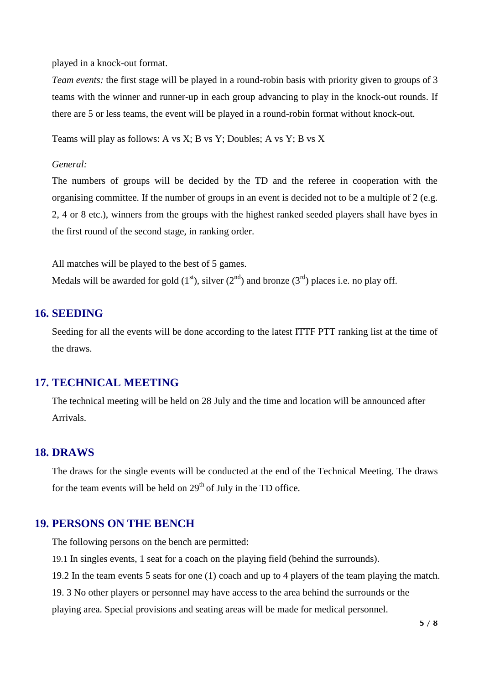played in a knock-out format.

*Team events:* the first stage will be played in a round-robin basis with priority given to groups of 3 teams with the winner and runner-up in each group advancing to play in the knock-out rounds. If there are 5 or less teams, the event will be played in a round-robin format without knock-out.

Teams will play as follows: A vs X; B vs Y; Doubles; A vs Y; B vs X

*General:*

The numbers of groups will be decided by the TD and the referee in cooperation with the organising committee. If the number of groups in an event is decided not to be a multiple of 2 (e.g. 2, 4 or 8 etc.), winners from the groups with the highest ranked seeded players shall have byes in the first round of the second stage, in ranking order.

All matches will be played to the best of 5 games. Medals will be awarded for gold  $(1<sup>st</sup>)$ , silver  $(2<sup>nd</sup>)$  and bronze  $(3<sup>rd</sup>)$  places i.e. no play off.

#### **16. SEEDING**

Seeding for all the events will be done according to the latest ITTF PTT ranking list at the time of the draws.

#### **17. TECHNICAL MEETING**

The technical meeting will be held on 28 July and the time and location will be announced after Arrivals.

#### **18. DRAWS**

The draws for the single events will be conducted at the end of the Technical Meeting. The draws for the team events will be held on  $29<sup>th</sup>$  of July in the TD office.

#### **19. PERSONS ON THE BENCH**

The following persons on the bench are permitted:

19.1 In singles events, 1 seat for a coach on the playing field (behind the surrounds).

19.2 In the team events 5 seats for one (1) coach and up to 4 players of the team playing the match.

19. 3 No other players or personnel may have access to the area behind the surrounds or the

playing area. Special provisions and seating areas will be made for medical personnel.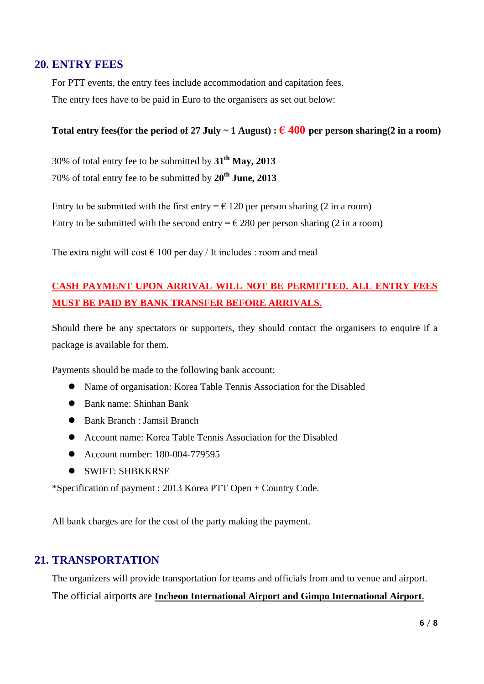## **20. ENTRY FEES**

For PTT events, the entry fees include accommodation and capitation fees. The entry fees have to be paid in Euro to the organisers as set out below:

#### Total entry fees(for the period of 27 July ~ 1 August) :  $\epsilon$  400 per person sharing(2 in a room)

30% of total entry fee to be submitted by **31 th May, 2013** 70% of total entry fee to be submitted by **20 th June, 2013**

Entry to be submitted with the first entry  $= \epsilon$  120 per person sharing (2 in a room) Entry to be submitted with the second entry =  $\epsilon$  280 per person sharing (2 in a room)

The extra night will cost  $\epsilon$  100 per day / It includes : room and meal

# **CASH PAYMENT UPON ARRIVAL WILL NOT BE PERMITTED. ALL ENTRY FEES MUST BE PAID BY BANK TRANSFER BEFORE ARRIVALS.**

Should there be any spectators or supporters, they should contact the organisers to enquire if a package is available for them.

Payments should be made to the following bank account:

- Name of organisation: Korea Table Tennis Association for the Disabled
- Bank name: Shinhan Bank
- Bank Branch : Jamsil Branch
- Account name: Korea Table Tennis Association for the Disabled
- Account number: 180-004-779595
- SWIFT: SHBKKRSE

\*Specification of payment : 2013 Korea PTT Open + Country Code.

All bank charges are for the cost of the party making the payment.

## **21. TRANSPORTATION**

The organizers will provide transportation for teams and officials from and to venue and airport.

The official airport**s** are **Incheon International Airport and Gimpo International Airport**.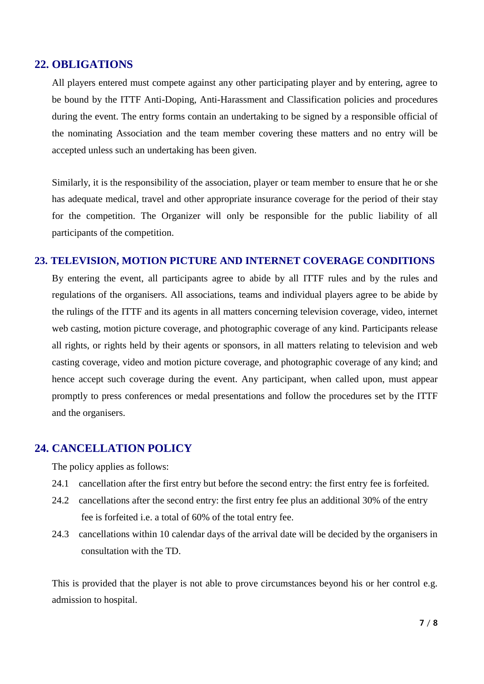#### **22. OBLIGATIONS**

All players entered must compete against any other participating player and by entering, agree to be bound by the ITTF Anti-Doping, Anti-Harassment and Classification policies and procedures during the event. The entry forms contain an undertaking to be signed by a responsible official of the nominating Association and the team member covering these matters and no entry will be accepted unless such an undertaking has been given.

Similarly, it is the responsibility of the association, player or team member to ensure that he or she has adequate medical, travel and other appropriate insurance coverage for the period of their stay for the competition. The Organizer will only be responsible for the public liability of all participants of the competition.

#### **23. TELEVISION, MOTION PICTURE AND INTERNET COVERAGE CONDITIONS**

By entering the event, all participants agree to abide by all ITTF rules and by the rules and regulations of the organisers. All associations, teams and individual players agree to be abide by the rulings of the ITTF and its agents in all matters concerning television coverage, video, internet web casting, motion picture coverage, and photographic coverage of any kind. Participants release all rights, or rights held by their agents or sponsors, in all matters relating to television and web casting coverage, video and motion picture coverage, and photographic coverage of any kind; and hence accept such coverage during the event. Any participant, when called upon, must appear promptly to press conferences or medal presentations and follow the procedures set by the ITTF and the organisers.

#### **24. CANCELLATION POLICY**

The policy applies as follows:

- 24.1 cancellation after the first entry but before the second entry: the first entry fee is forfeited.
- 24.2 cancellations after the second entry: the first entry fee plus an additional 30% of the entry fee is forfeited i.e. a total of 60% of the total entry fee.
- 24.3 cancellations within 10 calendar days of the arrival date will be decided by the organisers in consultation with the TD.

This is provided that the player is not able to prove circumstances beyond his or her control e.g. admission to hospital.